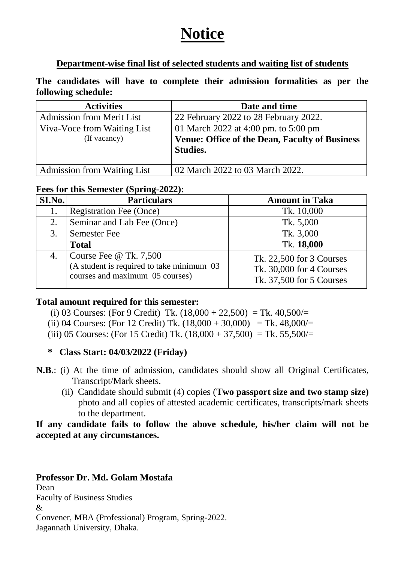# **Notice**

#### **Department-wise final list of selected students and waiting list of students**

**The candidates will have to complete their admission formalities as per the following schedule:** 

| <b>Activities</b>                  | Date and time                                                            |
|------------------------------------|--------------------------------------------------------------------------|
| <b>Admission from Merit List</b>   | 22 February 2022 to 28 February 2022.                                    |
| Viva-Voce from Waiting List        | 01 March 2022 at 4:00 pm. to 5:00 pm                                     |
| (If vacancy)                       | <b>Venue: Office of the Dean, Faculty of Business</b><br><b>Studies.</b> |
| <b>Admission from Waiting List</b> | 02 March 2022 to 03 March 2022.                                          |

#### **Fees for this Semester (Spring-2022):**

| SI.No. | <b>Particulars</b>                                                                                            | <b>Amount in Taka</b>                                                            |
|--------|---------------------------------------------------------------------------------------------------------------|----------------------------------------------------------------------------------|
|        | <b>Registration Fee (Once)</b>                                                                                | Tk. 10,000                                                                       |
| 2.     | Seminar and Lab Fee (Once)                                                                                    | Tk. 5,000                                                                        |
| 3.     | <b>Semester Fee</b>                                                                                           | Tk. 3,000                                                                        |
|        | <b>Total</b>                                                                                                  | Tk. 18,000                                                                       |
| 4.     | Course Fee $\omega$ Tk. 7,500<br>(A student is required to take minimum 03<br>courses and maximum 05 courses) | Tk. 22,500 for 3 Courses<br>Tk. 30,000 for 4 Courses<br>Tk. 37,500 for 5 Courses |

#### **Total amount required for this semester:**

- (i) 03 Courses: (For 9 Credit) Tk.  $(18,000 + 22,500) =$ Tk.  $40,500/$
- (ii) 04 Courses: (For 12 Credit) Tk.  $(18,000 + 30,000) =$ Tk. 48,000/=
- (iii) 05 Courses: (For 15 Credit) Tk.  $(18,000 + 37,500) =$ Tk. 55,500/=

#### **\* Class Start: 04/03/2022 (Friday)**

- **N.B.**: (i) At the time of admission, candidates should show all Original Certificates, Transcript/Mark sheets.
	- (ii) Candidate should submit (4) copies (**Two passport size and two stamp size)** photo and all copies of attested academic certificates, transcripts/mark sheets to the department.

**If any candidate fails to follow the above schedule, his/her claim will not be accepted at any circumstances.** 

# **Professor Dr. Md. Golam Mostafa**

Dean Faculty of Business Studies & Convener, MBA (Professional) Program, Spring-2022. Jagannath University*,* Dhaka.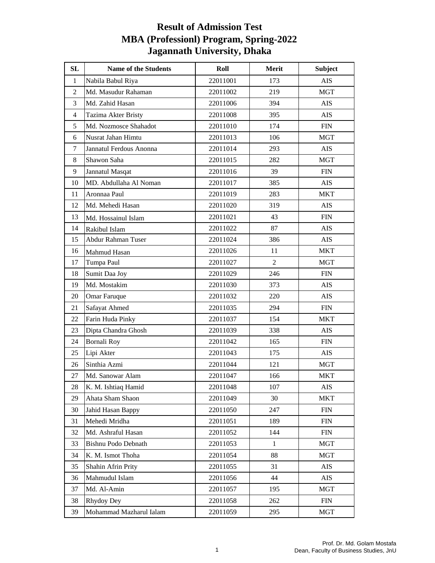| SL             | Name of the Students    | Roll     | Merit          | <b>Subject</b> |
|----------------|-------------------------|----------|----------------|----------------|
| $\mathbf{1}$   | Nabila Babul Riya       | 22011001 | 173            | <b>AIS</b>     |
| $\mathfrak{2}$ | Md. Masudur Rahaman     | 22011002 | 219            | <b>MGT</b>     |
| $\overline{3}$ | Md. Zahid Hasan         | 22011006 | 394            | <b>AIS</b>     |
| $\overline{4}$ | Tazima Akter Bristy     | 22011008 | 395            | <b>AIS</b>     |
| 5              | Md. Nozmosce Shahadot   | 22011010 | 174            | ${\rm FIN}$    |
| 6              | Nusrat Jahan Himtu      | 22011013 | 106            | <b>MGT</b>     |
| 7              | Jannatul Ferdous Anonna | 22011014 | 293            | <b>AIS</b>     |
| 8              | Shawon Saha             | 22011015 | 282            | <b>MGT</b>     |
| 9              | Jannatul Masqat         | 22011016 | 39             | <b>FIN</b>     |
| 10             | MD. Abdullaha Al Noman  | 22011017 | 385            | <b>AIS</b>     |
| 11             | Aronnaa Paul            | 22011019 | 283            | MKT            |
| 12             | Md. Mehedi Hasan        | 22011020 | 319            | <b>AIS</b>     |
| 13             | Md. Hossainul Islam     | 22011021 | 43             | <b>FIN</b>     |
| 14             | Rakibul Islam           | 22011022 | 87             | AIS            |
| 15             | Abdur Rahman Tuser      | 22011024 | 386            | <b>AIS</b>     |
| 16             | Mahmud Hasan            | 22011026 | 11             | <b>MKT</b>     |
| 17             | Tumpa Paul              | 22011027 | $\overline{2}$ | MGT            |
| 18             | Sumit Daa Joy           | 22011029 | 246            | ${\rm FIN}$    |
| 19             | Md. Mostakim            | 22011030 | 373            | <b>AIS</b>     |
| 20             | <b>Omar Faruque</b>     | 22011032 | 220            | <b>AIS</b>     |
| 21             | Safayat Ahmed           | 22011035 | 294            | ${\rm FIN}$    |
| 22             | Farin Huda Pinky        | 22011037 | 154            | <b>MKT</b>     |
| 23             | Dipta Chandra Ghosh     | 22011039 | 338            | <b>AIS</b>     |
| 24             | <b>Bornali Roy</b>      | 22011042 | 165            | ${\rm FIN}$    |
| 25             | Lipi Akter              | 22011043 | 175            | AIS            |
| 26             | Sinthia Azmi            | 22011044 | 121            | <b>MGT</b>     |
| 27             | Md. Sanowar Alam        | 22011047 | 166            | <b>MKT</b>     |
| 28             | K. M. Ishtiaq Hamid     | 22011048 | 107            | AIS            |
| 29             | Ahata Sham Shaon        | 22011049 | 30             | <b>MKT</b>     |
| 30             | Jahid Hasan Bappy       | 22011050 | 247            | ${\rm FIN}$    |
| 31             | Mehedi Mridha           | 22011051 | 189            | <b>FIN</b>     |
| 32             | Md. Ashraful Hasan      | 22011052 | 144            | <b>FIN</b>     |
| 33             | Bishnu Podo Debnath     | 22011053 | $\mathbf{1}$   | <b>MGT</b>     |
| 34             | K. M. Ismot Thoha       | 22011054 | 88             | <b>MGT</b>     |
| 35             | Shahin Afrin Prity      | 22011055 | 31             | AIS            |
| 36             | Mahmudul Islam          | 22011056 | 44             | <b>AIS</b>     |
| 37             | Md. Al-Amin             | 22011057 | 195            | MGT            |
| 38             | Rhydoy Dey              | 22011058 | 262            | <b>FIN</b>     |
| 39             | Mohammad Mazharul Ialam | 22011059 | 295            | <b>MGT</b>     |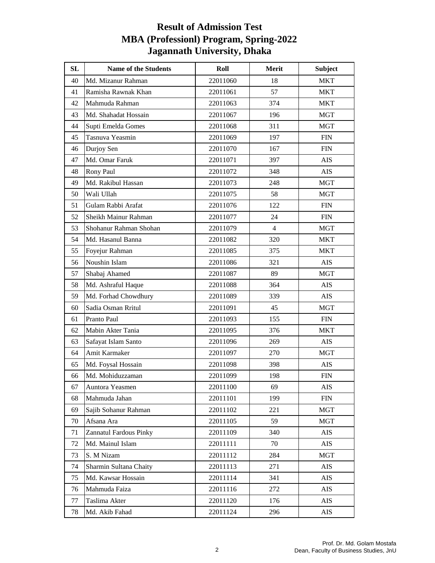| SL | <b>Name of the Students</b> | Roll     | Merit          | <b>Subject</b> |
|----|-----------------------------|----------|----------------|----------------|
| 40 | Md. Mizanur Rahman          | 22011060 | 18             | <b>MKT</b>     |
| 41 | Ramisha Rawnak Khan         | 22011061 | 57             | MKT            |
| 42 | Mahmuda Rahman              | 22011063 | 374            | <b>MKT</b>     |
| 43 | Md. Shahadat Hossain        | 22011067 | 196            | <b>MGT</b>     |
| 44 | Supti Emelda Gomes          | 22011068 | 311            | <b>MGT</b>     |
| 45 | Tasnuva Yeasmin             | 22011069 | 197            | ${\rm FIN}$    |
| 46 | Durjoy Sen                  | 22011070 | 167            | <b>FIN</b>     |
| 47 | Md. Omar Faruk              | 22011071 | 397            | <b>AIS</b>     |
| 48 | Rony Paul                   | 22011072 | 348            | AIS            |
| 49 | Md. Rakibul Hassan          | 22011073 | 248            | MGT            |
| 50 | Wali Ullah                  | 22011075 | 58             | <b>MGT</b>     |
| 51 | Gulam Rabbi Arafat          | 22011076 | 122            | ${\rm FIN}$    |
| 52 | Sheikh Mainur Rahman        | 22011077 | 24             | <b>FIN</b>     |
| 53 | Shohanur Rahman Shohan      | 22011079 | $\overline{4}$ | <b>MGT</b>     |
| 54 | Md. Hasanul Banna           | 22011082 | 320            | <b>MKT</b>     |
| 55 | Foyejur Rahman              | 22011085 | 375            | MKT            |
| 56 | Noushin Islam               | 22011086 | 321            | AIS            |
| 57 | Shabaj Ahamed               | 22011087 | 89             | <b>MGT</b>     |
| 58 | Md. Ashraful Haque          | 22011088 | 364            | AIS            |
| 59 | Md. Forhad Chowdhury        | 22011089 | 339            | AIS            |
| 60 | Sadia Osman Rritul          | 22011091 | 45             | <b>MGT</b>     |
| 61 | Pranto Paul                 | 22011093 | 155            | <b>FIN</b>     |
| 62 | Mabin Akter Tania           | 22011095 | 376            | <b>MKT</b>     |
| 63 | Safayat Islam Santo         | 22011096 | 269            | AIS            |
| 64 | Amit Karmaker               | 22011097 | 270            | <b>MGT</b>     |
| 65 | Md. Foysal Hossain          | 22011098 | 398            | <b>AIS</b>     |
| 66 | Md. Mohiduzzaman            | 22011099 | 198            | <b>FIN</b>     |
| 67 | Auntora Yeasmen             | 22011100 | 69             | <b>AIS</b>     |
| 68 | Mahmuda Jahan               | 22011101 | 199            | <b>FIN</b>     |
| 69 | Sajib Sohanur Rahman        | 22011102 | 221            | MGT            |
| 70 | Afsana Ara                  | 22011105 | 59             | <b>MGT</b>     |
| 71 | Zannatul Fardous Pinky      | 22011109 | 340            | AIS            |
| 72 | Md. Mainul Islam            | 22011111 | 70             | AIS            |
| 73 | S. M Nizam                  | 22011112 | 284            | <b>MGT</b>     |
| 74 | Sharmin Sultana Chaity      | 22011113 | 271            | AIS            |
| 75 | Md. Kawsar Hossain          | 22011114 | 341            | AIS            |
| 76 | Mahmuda Faiza               | 22011116 | 272            | AIS            |
| 77 | Taslima Akter               | 22011120 | 176            | AIS            |
| 78 | Md. Akib Fahad              | 22011124 | 296            | AIS            |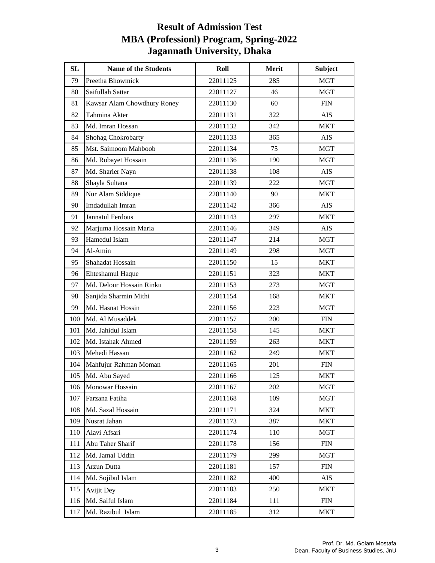| SL  | <b>Name of the Students</b> | Roll     | Merit | Subject     |
|-----|-----------------------------|----------|-------|-------------|
| 79  | Preetha Bhowmick            | 22011125 | 285   | <b>MGT</b>  |
| 80  | Saifullah Sattar            | 22011127 | 46    | MGT         |
| 81  | Kawsar Alam Chowdhury Roney | 22011130 | 60    | ${\rm FIN}$ |
| 82  | Tahmina Akter               | 22011131 | 322   | <b>AIS</b>  |
| 83  | Md. Imran Hossan            | 22011132 | 342   | <b>MKT</b>  |
| 84  | Shohag Chokrobarty          | 22011133 | 365   | AIS         |
| 85  | Mst. Saimoom Mahboob        | 22011134 | 75    | MGT         |
| 86  | Md. Robayet Hossain         | 22011136 | 190   | MGT         |
| 87  | Md. Sharier Nayn            | 22011138 | 108   | AIS         |
| 88  | Shayla Sultana              | 22011139 | 222   | MGT         |
| 89  | Nur Alam Siddique           | 22011140 | 90    | <b>MKT</b>  |
| 90  | Imdadullah Imran            | 22011142 | 366   | AIS         |
| 91  | Jannatul Ferdous            | 22011143 | 297   | MKT         |
| 92  | Marjuma Hossain Maria       | 22011146 | 349   | <b>AIS</b>  |
| 93  | Hamedul Islam               | 22011147 | 214   | <b>MGT</b>  |
| 94  | Al-Amin                     | 22011149 | 298   | MGT         |
| 95  | Shahadat Hossain            | 22011150 | 15    | <b>MKT</b>  |
| 96  | Ehteshamul Haque            | 22011151 | 323   | <b>MKT</b>  |
| 97  | Md. Delour Hossain Rinku    | 22011153 | 273   | MGT         |
| 98  | Sanjida Sharmin Mithi       | 22011154 | 168   | <b>MKT</b>  |
| 99  | Md. Hasnat Hossin           | 22011156 | 223   | MGT         |
| 100 | Md. Al Musaddek             | 22011157 | 200   | <b>FIN</b>  |
| 101 | Md. Jahidul Islam           | 22011158 | 145   | <b>MKT</b>  |
| 102 | Md. Istahak Ahmed           | 22011159 | 263   | MKT         |
| 103 | Mehedi Hassan               | 22011162 | 249   | MKT         |
| 104 | Mahfujur Rahman Moman       | 22011165 | 201   | <b>FIN</b>  |
| 105 | Md. Abu Sayed               | 22011166 | 125   | <b>MKT</b>  |
| 106 | Monowar Hossain             | 22011167 | 202   | <b>MGT</b>  |
| 107 | Farzana Fatiha              | 22011168 | 109   | <b>MGT</b>  |
| 108 | Md. Sazal Hossain           | 22011171 | 324   | <b>MKT</b>  |
| 109 | Nusrat Jahan                | 22011173 | 387   | <b>MKT</b>  |
| 110 | Alavi Afsari                | 22011174 | 110   | <b>MGT</b>  |
| 111 | Abu Taher Sharif            | 22011178 | 156   | <b>FIN</b>  |
| 112 | Md. Jamal Uddin             | 22011179 | 299   | <b>MGT</b>  |
| 113 | Arzun Dutta                 | 22011181 | 157   | <b>FIN</b>  |
| 114 | Md. Sojibul Islam           | 22011182 | 400   | AIS         |
| 115 | <b>Avijit Dey</b>           | 22011183 | 250   | MKT         |
| 116 | Md. Saiful Islam            | 22011184 | 111   | <b>FIN</b>  |
| 117 | Md. Razibul Islam           | 22011185 | 312   | <b>MKT</b>  |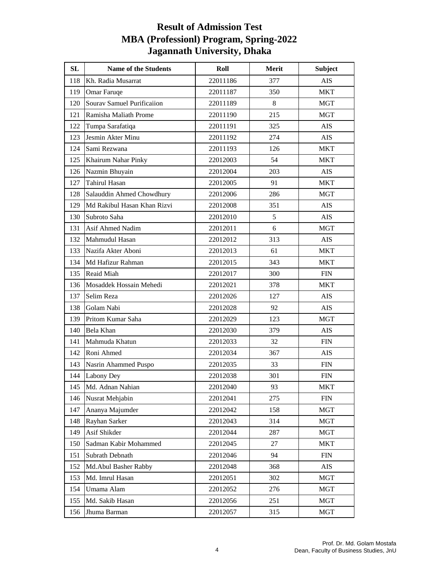| <b>SL</b> | <b>Name of the Students</b>       | Roll     | Merit | <b>Subject</b> |
|-----------|-----------------------------------|----------|-------|----------------|
| 118       | Kh. Radia Musarrat                | 22011186 | 377   | <b>AIS</b>     |
| 119       | Omar Faruqe                       | 22011187 | 350   | <b>MKT</b>     |
| 120       | <b>Sourav Samuel Purificaiion</b> | 22011189 | 8     | <b>MGT</b>     |
| 121       | Ramisha Maliath Prome             | 22011190 | 215   | <b>MGT</b>     |
| 122       | Tumpa Sarafatiqa                  | 22011191 | 325   | AIS            |
| 123       | Jesmin Akter Minu                 | 22011192 | 274   | AIS            |
| 124       | Sami Rezwana                      | 22011193 | 126   | <b>MKT</b>     |
| 125       | Khairum Nahar Pinky               | 22012003 | 54    | <b>MKT</b>     |
| 126       | Nazmin Bhuyain                    | 22012004 | 203   | AIS            |
| 127       | <b>Tahirul Hasan</b>              | 22012005 | 91    | <b>MKT</b>     |
| 128       | Salauddin Ahmed Chowdhury         | 22012006 | 286   | MGT            |
| 129       | Md Rakibul Hasan Khan Rizvi       | 22012008 | 351   | <b>AIS</b>     |
| 130       | Subroto Saha                      | 22012010 | 5     | <b>AIS</b>     |
| 131       | Asif Ahmed Nadim                  | 22012011 | 6     | MGT            |
| 132       | Mahmudul Hasan                    | 22012012 | 313   | <b>AIS</b>     |
| 133       | Nazifa Akter Aboni                | 22012013 | 61    | <b>MKT</b>     |
| 134       | Md Hafizur Rahman                 | 22012015 | 343   | MKT            |
| 135       | Reaid Miah                        | 22012017 | 300   | ${\rm FIN}$    |
| 136       | Mosaddek Hossain Mehedi           | 22012021 | 378   | MKT            |
| 137       | Selim Reza                        | 22012026 | 127   | AIS            |
| 138       | Golam Nabi                        | 22012028 | 92    | <b>AIS</b>     |
| 139       | Pritom Kumar Saha                 | 22012029 | 123   | <b>MGT</b>     |
| 140       | Bela Khan                         | 22012030 | 379   | AIS            |
| 141       | Mahmuda Khatun                    | 22012033 | 32    | <b>FIN</b>     |
| 142       | Roni Ahmed                        | 22012034 | 367   | <b>AIS</b>     |
| 143       | Nasrin Ahammed Puspo              | 22012035 | 33    | <b>FIN</b>     |
| 144       | Labony Dey                        | 22012038 | 301   | <b>FIN</b>     |
| 145       | Md. Adnan Nahian                  | 22012040 | 93    | <b>MKT</b>     |
| 146       | Nusrat Mehjabin                   | 22012041 | 275   | <b>FIN</b>     |
| 147       | Ananya Majumder                   | 22012042 | 158   | <b>MGT</b>     |
| 148       | Rayhan Sarker                     | 22012043 | 314   | MGT            |
| 149       | Asif Shikder                      | 22012044 | 287   | <b>MGT</b>     |
| 150       | Sadman Kabir Mohammed             | 22012045 | 27    | <b>MKT</b>     |
| 151       | Subrath Debnath                   | 22012046 | 94    | <b>FIN</b>     |
| 152       | Md.Abul Basher Rabby              | 22012048 | 368   | AIS            |
| 153       | Md. Imrul Hasan                   | 22012051 | 302   | <b>MGT</b>     |
| 154       | Umama Alam                        | 22012052 | 276   | <b>MGT</b>     |
| 155       | Md. Sakib Hasan                   | 22012056 | 251   | <b>MGT</b>     |
| 156       | Jhuma Barman                      | 22012057 | 315   | <b>MGT</b>     |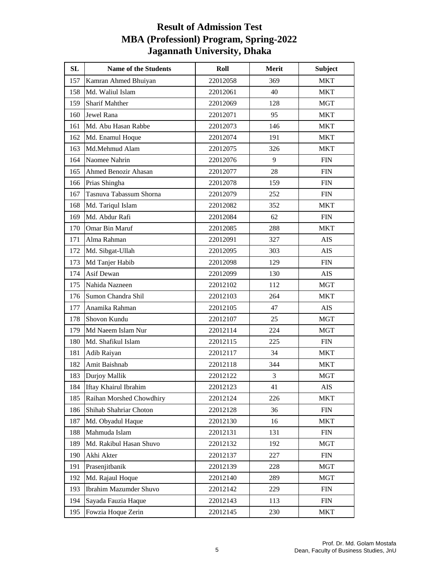| SL  | <b>Name of the Students</b> | Roll     | Merit          | <b>Subject</b> |
|-----|-----------------------------|----------|----------------|----------------|
| 157 | Kamran Ahmed Bhuiyan        | 22012058 | 369            | <b>MKT</b>     |
| 158 | Md. Waliul Islam            | 22012061 | 40             | <b>MKT</b>     |
| 159 | <b>Sharif Mahther</b>       | 22012069 | 128            | <b>MGT</b>     |
| 160 | Jewel Rana                  | 22012071 | 95             | <b>MKT</b>     |
| 161 | Md. Abu Hasan Rabbe         | 22012073 | 146            | <b>MKT</b>     |
| 162 | Md. Enamul Hoque            | 22012074 | 191            | <b>MKT</b>     |
| 163 | Md.Mehmud Alam              | 22012075 | 326            | MKT            |
| 164 | Naomee Nahrin               | 22012076 | 9              | <b>FIN</b>     |
| 165 | Ahmed Benozir Ahasan        | 22012077 | 28             | <b>FIN</b>     |
| 166 | Prias Shingha               | 22012078 | 159            | <b>FIN</b>     |
| 167 | Tasnuva Tabassum Shorna     | 22012079 | 252            | <b>FIN</b>     |
| 168 | Md. Tariqul Islam           | 22012082 | 352            | <b>MKT</b>     |
| 169 | Md. Abdur Rafi              | 22012084 | 62             | <b>FIN</b>     |
| 170 | Omar Bin Maruf              | 22012085 | 288            | <b>MKT</b>     |
| 171 | Alma Rahman                 | 22012091 | 327            | AIS            |
| 172 | Md. Sibgat-Ullah            | 22012095 | 303            | <b>AIS</b>     |
| 173 | Md Tanjer Habib             | 22012098 | 129            | <b>FIN</b>     |
| 174 | Asif Dewan                  | 22012099 | 130            | AIS            |
| 175 | Nahida Nazneen              | 22012102 | 112            | <b>MGT</b>     |
| 176 | Sumon Chandra Shil          | 22012103 | 264            | <b>MKT</b>     |
| 177 | Anamika Rahman              | 22012105 | 47             | AIS            |
| 178 | Shovon Kundu                | 22012107 | 25             | <b>MGT</b>     |
| 179 | Md Naeem Islam Nur          | 22012114 | 224            | <b>MGT</b>     |
| 180 | Md. Shafikul Islam          | 22012115 | 225            | <b>FIN</b>     |
| 181 | Adib Raiyan                 | 22012117 | 34             | <b>MKT</b>     |
| 182 | Amit Baishnab               | 22012118 | 344            | <b>MKT</b>     |
| 183 | Durjoy Mallik               | 22012122 | $\mathfrak{Z}$ | <b>MGT</b>     |
| 184 | Iftay Khairul Ibrahim       | 22012123 | 41             | <b>AIS</b>     |
| 185 | Raihan Morshed Chowdhiry    | 22012124 | 226            | <b>MKT</b>     |
| 186 | Shihab Shahriar Choton      | 22012128 | 36             | <b>FIN</b>     |
| 187 | Md. Obyadul Haque           | 22012130 | 16             | <b>MKT</b>     |
| 188 | Mahmuda Islam               | 22012131 | 131            | ${\rm FIN}$    |
| 189 | Md. Rakibul Hasan Shuvo     | 22012132 | 192            | MGT            |
| 190 | Akhi Akter                  | 22012137 | 227            | <b>FIN</b>     |
| 191 | Prasenjitbanik              | 22012139 | 228            | <b>MGT</b>     |
| 192 | Md. Rajaul Hoque            | 22012140 | 289            | <b>MGT</b>     |
| 193 | Ibrahim Mazumder Shuvo      | 22012142 | 229            | <b>FIN</b>     |
| 194 | Sayada Fauzia Haque         | 22012143 | 113            | <b>FIN</b>     |
| 195 | Fowzia Hoque Zerin          | 22012145 | 230            | <b>MKT</b>     |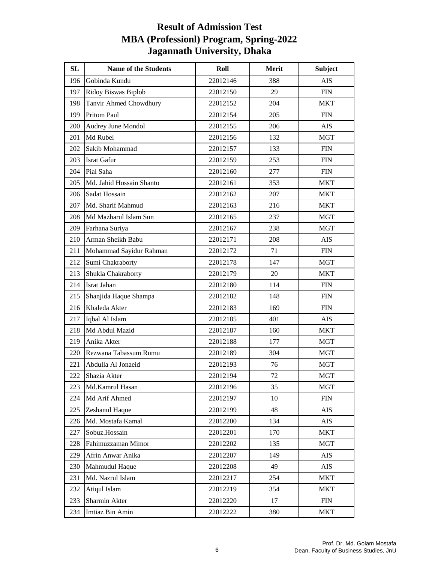| SL  | <b>Name of the Students</b> | Roll     | Merit | <b>Subject</b> |
|-----|-----------------------------|----------|-------|----------------|
| 196 | Gobinda Kundu               | 22012146 | 388   | <b>AIS</b>     |
| 197 | Ridoy Biswas Biplob         | 22012150 | 29    | <b>FIN</b>     |
| 198 | Tanvir Ahmed Chowdhury      | 22012152 | 204   | <b>MKT</b>     |
| 199 | <b>Pritom Paul</b>          | 22012154 | 205   | <b>FIN</b>     |
| 200 | Audrey June Mondol          | 22012155 | 206   | <b>AIS</b>     |
| 201 | Md Rubel                    | 22012156 | 132   | <b>MGT</b>     |
| 202 | Sakib Mohammad              | 22012157 | 133   | <b>FIN</b>     |
| 203 | <b>Israt Gafur</b>          | 22012159 | 253   | <b>FIN</b>     |
| 204 | Pial Saha                   | 22012160 | 277   | ${\rm FIN}$    |
| 205 | Md. Jahid Hossain Shanto    | 22012161 | 353   | <b>MKT</b>     |
| 206 | Sadat Hossain               | 22012162 | 207   | <b>MKT</b>     |
| 207 | Md. Sharif Mahmud           | 22012163 | 216   | <b>MKT</b>     |
| 208 | Md Mazharul Islam Sun       | 22012165 | 237   | <b>MGT</b>     |
| 209 | Farhana Suriya              | 22012167 | 238   | <b>MGT</b>     |
| 210 | Arman Sheikh Babu           | 22012171 | 208   | <b>AIS</b>     |
| 211 | Mohammad Sayidur Rahman     | 22012172 | 71    | <b>FIN</b>     |
| 212 | Sumi Chakraborty            | 22012178 | 147   | <b>MGT</b>     |
| 213 | Shukla Chakraborty          | 22012179 | 20    | <b>MKT</b>     |
| 214 | Israt Jahan                 | 22012180 | 114   | <b>FIN</b>     |
| 215 | Shanjida Haque Shampa       | 22012182 | 148   | <b>FIN</b>     |
| 216 | Khaleda Akter               | 22012183 | 169   | <b>FIN</b>     |
| 217 | Iqbal Al Islam              | 22012185 | 401   | <b>AIS</b>     |
| 218 | Md Abdul Mazid              | 22012187 | 160   | <b>MKT</b>     |
| 219 | Anika Akter                 | 22012188 | 177   | MGT            |
| 220 | Rezwana Tabassum Rumu       | 22012189 | 304   | <b>MGT</b>     |
| 221 | Abdulla Al Jonaeid          | 22012193 | 76    | <b>MGT</b>     |
| 222 | Shazia Akter                | 22012194 | 72    | <b>MGT</b>     |
| 223 | Md.Kamrul Hasan             | 22012196 | 35    | <b>MGT</b>     |
| 224 | Md Arif Ahmed               | 22012197 | 10    | <b>FIN</b>     |
| 225 | Zeshanul Haque              | 22012199 | 48    | AIS            |
| 226 | Md. Mostafa Kamal           | 22012200 | 134   | <b>AIS</b>     |
| 227 | Sobuz.Hossain               | 22012201 | 170   | <b>MKT</b>     |
| 228 | Fahimuzzaman Mimor          | 22012202 | 135   | MGT            |
| 229 | Afrin Anwar Anika           | 22012207 | 149   | AIS            |
| 230 | Mahmudul Haque              | 22012208 | 49    | AIS            |
| 231 | Md. Nazrul Islam            | 22012217 | 254   | MKT            |
| 232 | Atiqul Islam                | 22012219 | 354   | <b>MKT</b>     |
| 233 | Sharmin Akter               | 22012220 | 17    | <b>FIN</b>     |
| 234 | Imtiaz Bin Amin             | 22012222 | 380   | MKT            |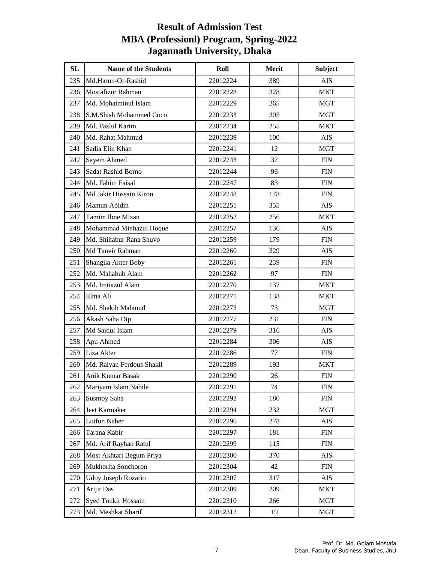| <b>SL</b> | <b>Name of the Students</b> | Roll     | Merit | <b>Subject</b> |
|-----------|-----------------------------|----------|-------|----------------|
| 235       | Md.Harun-Or-Rashid          | 22012224 | 389   | <b>AIS</b>     |
| 236       | Mostafizur Rahman           | 22012228 | 328   | <b>MKT</b>     |
| 237       | Md. Mohaiminul Islam        | 22012229 | 265   | <b>MGT</b>     |
| 238       | S.M.Shish Mohammed Coco     | 22012233 | 305   | <b>MGT</b>     |
| 239       | Md. Fazlul Karim            | 22012234 | 255   | <b>MKT</b>     |
| 240       | Md. Rahat Mahmud            | 22012239 | 100   | AIS            |
| 241       | Sadia Elin Khan             | 22012241 | 12    | <b>MGT</b>     |
| 242       | Sayem Ahmed                 | 22012243 | 37    | <b>FIN</b>     |
| 243       | Sadat Rashid Borno          | 22012244 | 96    | <b>FIN</b>     |
| 244       | Md. Fahim Faisal            | 22012247 | 83    | <b>FIN</b>     |
| 245       | Md Jakir Hossain Kiron      | 22012248 | 178   | <b>FIN</b>     |
| 246       | Mamun Abidin                | 22012251 | 355   | <b>AIS</b>     |
| 247       | Tamim Ibne Mizan            | 22012252 | 256   | <b>MKT</b>     |
| 248       | Mohammad Minhazul Hoque     | 22012257 | 136   | <b>AIS</b>     |
| 249       | Md. Shihabur Rana Shuvo     | 22012259 | 179   | <b>FIN</b>     |
| 250       | Md Tanvir Rahman            | 22012260 | 329   | AIS            |
| 251       | Shangila Akter Boby         | 22012261 | 239   | <b>FIN</b>     |
| 252       | Md. Mahabub Alam            | 22012262 | 97    | ${\rm FIN}$    |
| 253       | Md. Imtiazul Alam           | 22012270 | 137   | <b>MKT</b>     |
| 254       | Elma Ali                    | 22012271 | 138   | <b>MKT</b>     |
| 255       | Md. Shakib Mahmud           | 22012273 | 73    | MGT            |
| 256       | Akash Saha Dip              | 22012277 | 231   | <b>FIN</b>     |
| 257       | Md Saidul Islam             | 22012279 | 316   | <b>AIS</b>     |
| 258       | Apu Ahmed                   | 22012284 | 306   | <b>AIS</b>     |
| 259       | Liza Akter                  | 22012286 | 77    | ${\rm FIN}$    |
| 260       | Md. Raiyan Ferdous Shakil   | 22012289 | 193   | <b>MKT</b>     |
| 261       | Anik Kumar Basak            | 22012290 | 26    | <b>FIN</b>     |
| 262       | Mariyam Islam Nabila        | 22012291 | 74    | <b>FIN</b>     |
| 263       | Susmoy Saha                 | 22012292 | 180   | <b>FIN</b>     |
| 264       | Jeet Karmaker               | 22012294 | 232   | MGT            |
| 265       | Lutfun Naher                | 22012296 | 278   | <b>AIS</b>     |
| 266       | Tarana Kabir                | 22012297 | 181   | <b>FIN</b>     |
| 267       | Md. Arif Rayhan Ratul       | 22012299 | 115   | <b>FIN</b>     |
| 268       | Most Akhtari Begum Priya    | 22012300 | 370   | AIS            |
| 269       | Mukhorita Sonchoron         | 22012304 | 42    | <b>FIN</b>     |
| 270       | Udoy Joseph Rozario         | 22012307 | 317   | AIS            |
| 271       | Arijit Das                  | 22012309 | 209   | MKT            |
| 272       | Syed Toukir Hossain         | 22012310 | 266   | <b>MGT</b>     |
| 273       | Md. Meshkat Sharif          | 22012312 | 19    | <b>MGT</b>     |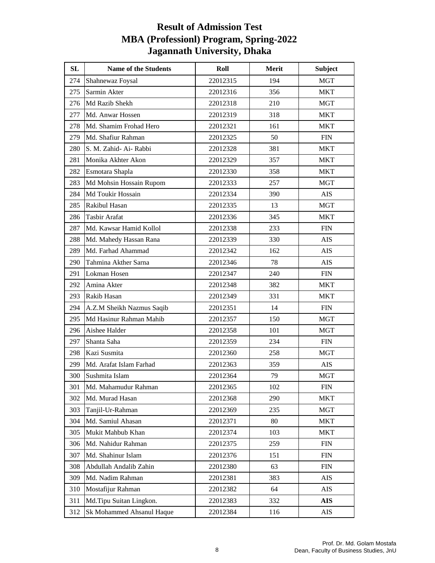| <b>SL</b> | <b>Name of the Students</b> | Roll     | Merit | <b>Subject</b> |
|-----------|-----------------------------|----------|-------|----------------|
| 274       | Shahnewaz Foysal            | 22012315 | 194   | <b>MGT</b>     |
| 275       | Sarmin Akter                | 22012316 | 356   | <b>MKT</b>     |
| 276       | Md Razib Shekh              | 22012318 | 210   | <b>MGT</b>     |
| 277       | Md. Anwar Hossen            | 22012319 | 318   | <b>MKT</b>     |
| 278       | Md. Shamim Frohad Hero      | 22012321 | 161   | MKT            |
| 279       | Md. Shafiur Rahman          | 22012325 | 50    | <b>FIN</b>     |
| 280       | S. M. Zahid- Ai- Rabbi      | 22012328 | 381   | MKT            |
| 281       | Monika Akhter Akon          | 22012329 | 357   | <b>MKT</b>     |
| 282       | Esmotara Shapla             | 22012330 | 358   | <b>MKT</b>     |
| 283       | Md Mohsin Hossain Rupom     | 22012333 | 257   | MGT            |
| 284       | Md Toukir Hossain           | 22012334 | 390   | AIS            |
| 285       | Rakibul Hasan               | 22012335 | 13    | <b>MGT</b>     |
| 286       | Tasbir Arafat               | 22012336 | 345   | <b>MKT</b>     |
| 287       | Md. Kawsar Hamid Kollol     | 22012338 | 233   | <b>FIN</b>     |
| 288       | Md. Mahedy Hassan Rana      | 22012339 | 330   | <b>AIS</b>     |
| 289       | Md. Farhad Ahammad          | 22012342 | 162   | <b>AIS</b>     |
| 290       | Tahmina Akther Sarna        | 22012346 | 78    | <b>AIS</b>     |
| 291       | Lokman Hosen                | 22012347 | 240   | ${\rm FIN}$    |
| 292       | Amina Akter                 | 22012348 | 382   | <b>MKT</b>     |
| 293       | Rakib Hasan                 | 22012349 | 331   | <b>MKT</b>     |
| 294       | A.Z.M Sheikh Nazmus Saqib   | 22012351 | 14    | ${\rm FIN}$    |
| 295       | Md Hasinur Rahman Mahib     | 22012357 | 150   | <b>MGT</b>     |
| 296       | Aishee Halder               | 22012358 | 101   | <b>MGT</b>     |
| 297       | Shanta Saha                 | 22012359 | 234   | ${\rm FIN}$    |
| 298       | Kazi Susmita                | 22012360 | 258   | <b>MGT</b>     |
| 299       | Md. Arafat Islam Farhad     | 22012363 | 359   | <b>AIS</b>     |
| 300       | Sushmita Islam              | 22012364 | 79    | <b>MGT</b>     |
| 301       | Md. Mahamudur Rahman        | 22012365 | 102   | <b>FIN</b>     |
| 302       | Md. Murad Hasan             | 22012368 | 290   | <b>MKT</b>     |
| 303       | Tanjil-Ur-Rahman            | 22012369 | 235   | <b>MGT</b>     |
| 304       | Md. Samiul Ahasan           | 22012371 | 80    | MKT            |
| 305       | Mukit Mahbub Khan           | 22012374 | 103   | <b>MKT</b>     |
| 306       | Md. Nahidur Rahman          | 22012375 | 259   | <b>FIN</b>     |
| 307       | Md. Shahinur Islam          | 22012376 | 151   | <b>FIN</b>     |
| 308       | Abdullah Andalib Zahin      | 22012380 | 63    | <b>FIN</b>     |
| 309       | Md. Nadim Rahman            | 22012381 | 383   | <b>AIS</b>     |
| 310       | Mostafijur Rahman           | 22012382 | 64    | AIS            |
| 311       | Md.Tipu Suitan Lingkon.     | 22012383 | 332   | <b>AIS</b>     |
| 312       | Sk Mohammed Ahsanul Haque   | 22012384 | 116   | AIS            |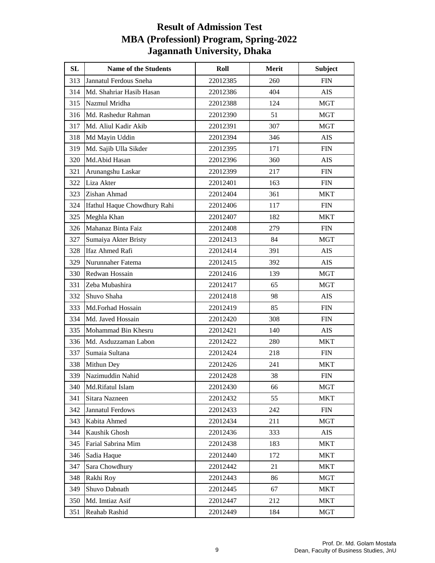| SL  | <b>Name of the Students</b>  | Roll     | Merit | <b>Subject</b> |
|-----|------------------------------|----------|-------|----------------|
| 313 | Jannatul Ferdous Sneha       | 22012385 | 260   | <b>FIN</b>     |
| 314 | Md. Shahriar Hasib Hasan     | 22012386 | 404   | <b>AIS</b>     |
| 315 | Nazmul Mridha                | 22012388 | 124   | <b>MGT</b>     |
| 316 | Md. Rashedur Rahman          | 22012390 | 51    | <b>MGT</b>     |
| 317 | Md. Aliul Kadir Akib         | 22012391 | 307   | <b>MGT</b>     |
| 318 | Md Mayin Uddin               | 22012394 | 346   | <b>AIS</b>     |
| 319 | Md. Sajib Ulla Sikder        | 22012395 | 171   | <b>FIN</b>     |
| 320 | Md.Abid Hasan                | 22012396 | 360   | <b>AIS</b>     |
| 321 | Arunangshu Laskar            | 22012399 | 217   | <b>FIN</b>     |
| 322 | Liza Akter                   | 22012401 | 163   | <b>FIN</b>     |
| 323 | Zishan Ahmad                 | 22012404 | 361   | <b>MKT</b>     |
| 324 | Ifathul Haque Chowdhury Rahi | 22012406 | 117   | ${\rm FIN}$    |
| 325 | Meghla Khan                  | 22012407 | 182   | MKT            |
| 326 | Mahanaz Binta Faiz           | 22012408 | 279   | <b>FIN</b>     |
| 327 | Sumaiya Akter Bristy         | 22012413 | 84    | <b>MGT</b>     |
| 328 | <b>Ifaz Ahmed Rafi</b>       | 22012414 | 391   | AIS            |
| 329 | Nurunnaher Fatema            | 22012415 | 392   | AIS            |
| 330 | Redwan Hossain               | 22012416 | 139   | <b>MGT</b>     |
| 331 | Zeba Mubashira               | 22012417 | 65    | MGT            |
| 332 | Shuvo Shaha                  | 22012418 | 98    | AIS            |
| 333 | Md.Forhad Hossain            | 22012419 | 85    | <b>FIN</b>     |
| 334 | Md. Javed Hossain            | 22012420 | 308   | <b>FIN</b>     |
| 335 | Mohammad Bin Khesru          | 22012421 | 140   | AIS            |
| 336 | Md. Asduzzaman Labon         | 22012422 | 280   | MKT            |
| 337 | Sumaia Sultana               | 22012424 | 218   | ${\rm FIN}$    |
| 338 | Mithun Dey                   | 22012426 | 241   | <b>MKT</b>     |
| 339 | Nazimuddin Nahid             | 22012428 | 38    | <b>FIN</b>     |
| 340 | Md.Rifatul Islam             | 22012430 | 66    | <b>MGT</b>     |
| 341 | Sitara Nazneen               | 22012432 | 55    | <b>MKT</b>     |
| 342 | <b>Jannatul Ferdows</b>      | 22012433 | 242   | <b>FIN</b>     |
| 343 | Kabita Ahmed                 | 22012434 | 211   | <b>MGT</b>     |
| 344 | Kaushik Ghosh                | 22012436 | 333   | AIS            |
| 345 | Farial Sabrina Mim           | 22012438 | 183   | <b>MKT</b>     |
| 346 | Sadia Haque                  | 22012440 | 172   | <b>MKT</b>     |
| 347 | Sara Chowdhury               | 22012442 | 21    | <b>MKT</b>     |
| 348 | Rakhi Roy                    | 22012443 | 86    | <b>MGT</b>     |
| 349 | Shuvo Dabnath                | 22012445 | 67    | <b>MKT</b>     |
| 350 | Md. Imtiaz Asif              | 22012447 | 212   | <b>MKT</b>     |
| 351 | Reahab Rashid                | 22012449 | 184   | <b>MGT</b>     |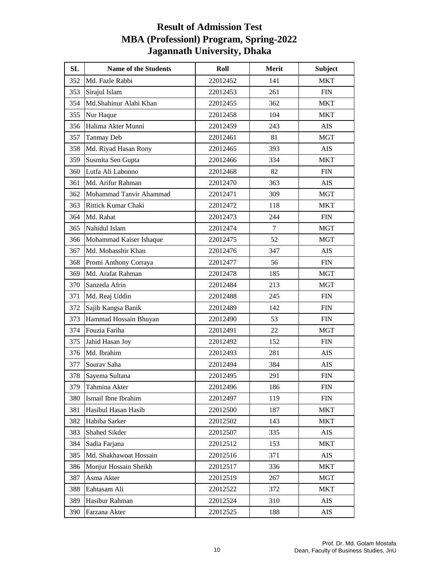| SL  | <b>Name of the Students</b> | Roll     | Merit  | <b>Subject</b> |
|-----|-----------------------------|----------|--------|----------------|
| 352 | Md. Fazle Rabbi             | 22012452 | 141    | <b>MKT</b>     |
| 353 | Sirajul Islam               | 22012453 | 261    | <b>FIN</b>     |
| 354 | Md.Shahinur Alahi Khan      | 22012455 | 362    | <b>MKT</b>     |
| 355 | Nur Haque                   | 22012458 | 104    | MKT            |
| 356 | Halima Akter Munni          | 22012459 | 243    | <b>AIS</b>     |
| 357 | <b>Tanmay Deb</b>           | 22012461 | 81     | <b>MGT</b>     |
| 358 | Md. Riyad Hasan Rony        | 22012465 | 393    | <b>AIS</b>     |
| 359 | Susmita Sen Gupta           | 22012466 | 334    | <b>MKT</b>     |
| 360 | Lutfa Ali Labonno           | 22012468 | 82     | ${\rm FIN}$    |
| 361 | Md. Arifur Rahman           | 22012470 | 363    | <b>AIS</b>     |
| 362 | Mohammad Tanvir Ahammad     | 22012471 | 309    | <b>MGT</b>     |
| 363 | Rittick Kumar Chaki         | 22012472 | 118    | <b>MKT</b>     |
| 364 | Md. Rahat                   | 22012473 | 244    | <b>FIN</b>     |
| 365 | Nahidul Islam               | 22012474 | $\tau$ | <b>MGT</b>     |
| 366 | Mohammad Kaiser Ishaque     | 22012475 | 52     | <b>MGT</b>     |
| 367 | Md. Mobasshir Khan          | 22012476 | 347    | AIS            |
| 368 | Promi Anthony Corraya       | 22012477 | 56     | <b>FIN</b>     |
| 369 | Md. Arafat Rahman           | 22012478 | 185    | <b>MGT</b>     |
| 370 | Sanzeda Afrin               | 22012484 | 213    | MGT            |
| 371 | Md. Reaj Uddin              | 22012488 | 245    | <b>FIN</b>     |
| 372 | Sajib Kangsa Banik          | 22012489 | 142    | <b>FIN</b>     |
| 373 | Hammad Hossain Bhuyan       | 22012490 | 53     | <b>FIN</b>     |
| 374 | Fouzia Fariha               | 22012491 | 22     | <b>MGT</b>     |
| 375 | Jahid Hasan Joy             | 22012492 | 152    | ${\rm FIN}$    |
| 376 | Md. Ibrahim                 | 22012493 | 281    | <b>AIS</b>     |
| 377 | Sourav Saha                 | 22012494 | 384    | <b>AIS</b>     |
| 378 | Sayema Sultana              | 22012495 | 291    | <b>FIN</b>     |
| 379 | Tahmina Akter               | 22012496 | 186    | <b>FIN</b>     |
| 380 | Ismail Ibne Ibrahim         | 22012497 | 119    | <b>FIN</b>     |
| 381 | Hasibul Hasan Hasib         | 22012500 | 187    | <b>MKT</b>     |
| 382 | Habiba Sarker               | 22012502 | 143    | <b>MKT</b>     |
| 383 | Shahed Sikder               | 22012507 | 335    | AIS            |
| 384 | Sadia Farjana               | 22012512 | 153    | <b>MKT</b>     |
| 385 | Md. Shakhawoat Hossain      | 22012516 | 371    | AIS            |
| 386 | Monjur Hossain Sheikh       | 22012517 | 336    | <b>MKT</b>     |
| 387 | Asma Akter                  | 22012519 | 267    | <b>MGT</b>     |
| 388 | Eahtasam Ali                | 22012522 | 372    | <b>MKT</b>     |
| 389 | Hasibur Rahman              | 22012524 | 310    | AIS            |
| 390 | Farzana Akter               | 22012525 | 188    | AIS            |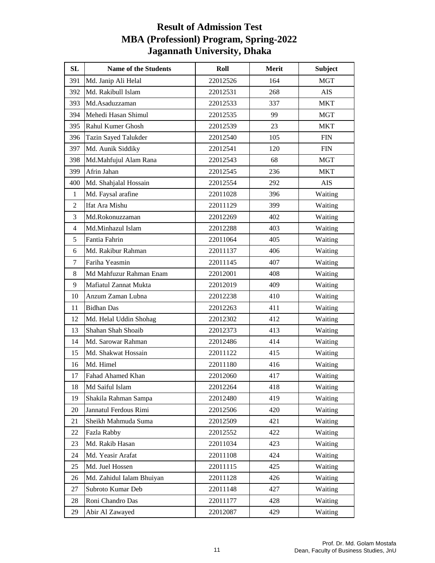| SL             | <b>Name of the Students</b> | Roll     | Merit | <b>Subject</b> |
|----------------|-----------------------------|----------|-------|----------------|
| 391            | Md. Janip Ali Helal         | 22012526 | 164   | <b>MGT</b>     |
| 392            | Md. Rakibull Islam          | 22012531 | 268   | AIS            |
| 393            | Md.Asaduzzaman              | 22012533 | 337   | <b>MKT</b>     |
| 394            | Mehedi Hasan Shimul         | 22012535 | 99    | <b>MGT</b>     |
| 395            | Rahul Kumer Ghosh           | 22012539 | 23    | MKT            |
| 396            | Tazin Sayed Talukder        | 22012540 | 105   | <b>FIN</b>     |
| 397            | Md. Aunik Siddiky           | 22012541 | 120   | <b>FIN</b>     |
| 398            | Md.Mahfujul Alam Rana       | 22012543 | 68    | <b>MGT</b>     |
| 399            | Afrin Jahan                 | 22012545 | 236   | <b>MKT</b>     |
| 400            | Md. Shahjalal Hossain       | 22012554 | 292   | <b>AIS</b>     |
| 1              | Md. Faysal arafine          | 22011028 | 396   | Waiting        |
| $\overline{2}$ | Ifat Ara Mishu              | 22011129 | 399   | Waiting        |
| 3              | Md.Rokonuzzaman             | 22012269 | 402   | Waiting        |
| 4              | Md.Minhazul Islam           | 22012288 | 403   | Waiting        |
| 5              | Fantia Fahrin               | 22011064 | 405   | Waiting        |
| 6              | Md. Rakibur Rahman          | 22011137 | 406   | Waiting        |
| 7              | Fariha Yeasmin              | 22011145 | 407   | Waiting        |
| $\,8\,$        | Md Mahfuzur Rahman Enam     | 22012001 | 408   | Waiting        |
| 9              | Mafiatul Zannat Mukta       | 22012019 | 409   | Waiting        |
| 10             | Anzum Zaman Lubna           | 22012238 | 410   | Waiting        |
| 11             | <b>Bidhan Das</b>           | 22012263 | 411   | Waiting        |
| 12             | Md. Helal Uddin Shohag      | 22012302 | 412   | Waiting        |
| 13             | Shahan Shah Shoaib          | 22012373 | 413   | Waiting        |
| 14             | Md. Sarowar Rahman          | 22012486 | 414   | Waiting        |
| 15             | Md. Shakwat Hossain         | 22011122 | 415   | Waiting        |
| 16             | Md. Himel                   | 22011180 | 416   | Waiting        |
| 17             | Fahad Ahamed Khan           | 22012060 | 417   | Waiting        |
| 18             | Md Saiful Islam             | 22012264 | 418   | Waiting        |
| 19             | Shakila Rahman Sampa        | 22012480 | 419   | Waiting        |
| 20             | Jannatul Ferdous Rimi       | 22012506 | 420   | Waiting        |
| 21             | Sheikh Mahmuda Suma         | 22012509 | 421   | Waiting        |
| 22             | Fazla Rabby                 | 22012552 | 422   | Waiting        |
| 23             | Md. Rakib Hasan             | 22011034 | 423   | Waiting        |
| 24             | Md. Yeasir Arafat           | 22011108 | 424   | Waiting        |
| 25             | Md. Juel Hossen             | 22011115 | 425   | Waiting        |
| 26             | Md. Zahidul Ialam Bhuiyan   | 22011128 | 426   | Waiting        |
| 27             | Subroto Kumar Deb           | 22011148 | 427   | Waiting        |
| 28             | Roni Chandro Das            | 22011177 | 428   | Waiting        |
| 29             | Abir Al Zawayed             | 22012087 | 429   | Waiting        |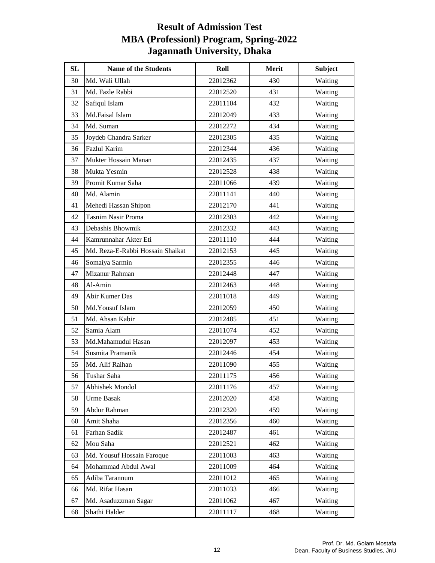| SL | <b>Name of the Students</b>      | Roll     | Merit | <b>Subject</b> |
|----|----------------------------------|----------|-------|----------------|
| 30 | Md. Wali Ullah                   | 22012362 | 430   | Waiting        |
| 31 | Md. Fazle Rabbi                  | 22012520 | 431   | Waiting        |
| 32 | Safiqul Islam                    | 22011104 | 432   | Waiting        |
| 33 | Md.Faisal Islam                  | 22012049 | 433   | Waiting        |
| 34 | Md. Suman                        | 22012272 | 434   | Waiting        |
| 35 | Joydeb Chandra Sarker            | 22012305 | 435   | Waiting        |
| 36 | Fazlul Karim                     | 22012344 | 436   | Waiting        |
| 37 | Mukter Hossain Manan             | 22012435 | 437   | Waiting        |
| 38 | Mukta Yesmin                     | 22012528 | 438   | Waiting        |
| 39 | Promit Kumar Saha                | 22011066 | 439   | Waiting        |
| 40 | Md. Alamin                       | 22011141 | 440   | Waiting        |
| 41 | Mehedi Hassan Shipon             | 22012170 | 441   | Waiting        |
| 42 | <b>Tasnim Nasir Proma</b>        | 22012303 | 442   | Waiting        |
| 43 | Debashis Bhowmik                 | 22012332 | 443   | Waiting        |
| 44 | Kamrunnahar Akter Eti            | 22011110 | 444   | Waiting        |
| 45 | Md. Reza-E-Rabbi Hossain Shaikat | 22012153 | 445   | Waiting        |
| 46 | Somaiya Sarmin                   | 22012355 | 446   | Waiting        |
| 47 | Mizanur Rahman                   | 22012448 | 447   | Waiting        |
| 48 | Al-Amin                          | 22012463 | 448   | Waiting        |
| 49 | Abir Kumer Das                   | 22011018 | 449   | Waiting        |
| 50 | Md. Yousuf Islam                 | 22012059 | 450   | Waiting        |
| 51 | Md. Ahsan Kabir                  | 22012485 | 451   | Waiting        |
| 52 | Samia Alam                       | 22011074 | 452   | Waiting        |
| 53 | Md.Mahamudul Hasan               | 22012097 | 453   | Waiting        |
| 54 | Susmita Pramanik                 | 22012446 | 454   | Waiting        |
| 55 | Md. Alif Raihan                  | 22011090 | 455   | Waiting        |
| 56 | Tushar Saha                      | 22011175 | 456   | Waiting        |
| 57 | Abhishek Mondol                  | 22011176 | 457   | Waiting        |
| 58 | <b>Urme Basak</b>                | 22012020 | 458   | Waiting        |
| 59 | Abdur Rahman                     | 22012320 | 459   | Waiting        |
| 60 | Amit Shaha                       | 22012356 | 460   | Waiting        |
| 61 | Farhan Sadik                     | 22012487 | 461   | Waiting        |
| 62 | Mou Saha                         | 22012521 | 462   | Waiting        |
| 63 | Md. Yousuf Hossain Faroque       | 22011003 | 463   | Waiting        |
| 64 | Mohammad Abdul Awal              | 22011009 | 464   | Waiting        |
| 65 | Adiba Tarannum                   | 22011012 | 465   | Waiting        |
| 66 | Md. Rifat Hasan                  | 22011033 | 466   | Waiting        |
| 67 | Md. Asaduzzman Sagar             | 22011062 | 467   | Waiting        |
| 68 | Shathi Halder                    | 22011117 | 468   | Waiting        |